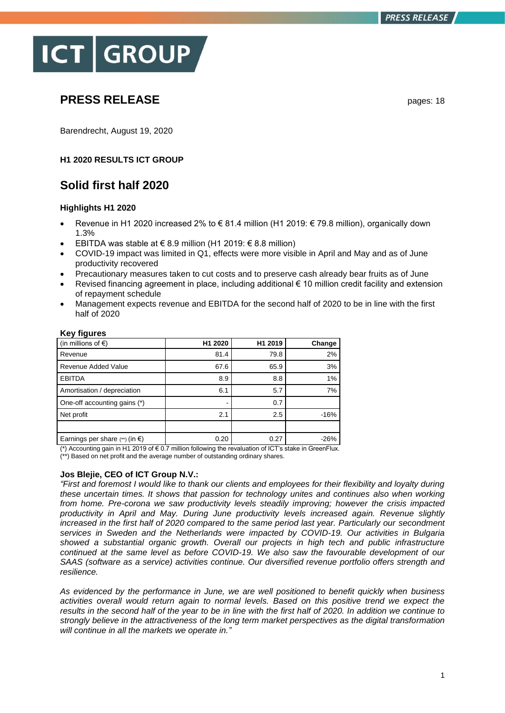# **ICT GROUP**

## **PRESS RELEASE** pages: 18

Barendrecht, August 19, 2020

## **H1 2020 RESULTS ICT GROUP**

## **Solid first half 2020**

## **Highlights H1 2020**

- Revenue in H1 2020 increased 2% to € 81.4 million (H1 2019: € 79.8 million), organically down 1.3%
- EBITDA was stable at €8.9 million (H1 2019: €8.8 million)
- COVID-19 impact was limited in Q1, effects were more visible in April and May and as of June productivity recovered
- Precautionary measures taken to cut costs and to preserve cash already bear fruits as of June
- Revised financing agreement in place, including additional  $\epsilon$  10 million credit facility and extension of repayment schedule
- Management expects revenue and EBITDA for the second half of 2020 to be in line with the first half of 2020

| , <u>.</u>                                |         |         |        |
|-------------------------------------------|---------|---------|--------|
| (in millions of $\epsilon$ )              | H1 2020 | H1 2019 | Change |
| Revenue                                   | 81.4    | 79.8    | 2%     |
| Revenue Added Value                       | 67.6    | 65.9    | 3%     |
| <b>EBITDA</b>                             | 8.9     | 8.8     | 1%     |
| Amortisation / depreciation               | 6.1     | 5.7     | 7%     |
| One-off accounting gains (*)              |         | 0.7     |        |
| Net profit                                | 2.1     | 2.5     | $-16%$ |
|                                           |         |         |        |
| Earnings per share $(*)$ (in $\epsilon$ ) | 0.20    | 0.27    | $-26%$ |

## **Key figures**

(\*) Accounting gain in H1 2019 of € 0.7 million following the revaluation of ICT's stake in GreenFlux. (\*\*) Based on net profit and the average number of outstanding ordinary shares.

**Jos Blejie, CEO of ICT Group N.V.:** 

*"First and foremost I would like to thank our clients and employees for their flexibility and loyalty during these uncertain times. It shows that passion for technology unites and continues also when working from home. Pre-corona we saw productivity levels steadily improving; however the crisis impacted productivity in April and May. During June productivity levels increased again. Revenue slightly increased in the first half of 2020 compared to the same period last year. Particularly our secondment services in Sweden and the Netherlands were impacted by COVID-19. Our activities in Bulgaria showed a substantial organic growth. Overall our projects in high tech and public infrastructure continued at the same level as before COVID-19. We also saw the favourable development of our SAAS (software as a service) activities continue. Our diversified revenue portfolio offers strength and resilience.*

*As evidenced by the performance in June, we are well positioned to benefit quickly when business activities overall would return again to normal levels. Based on this positive trend we expect the results in the second half of the year to be in line with the first half of 2020. In addition we continue to strongly believe in the attractiveness of the long term market perspectives as the digital transformation will continue in all the markets we operate in."*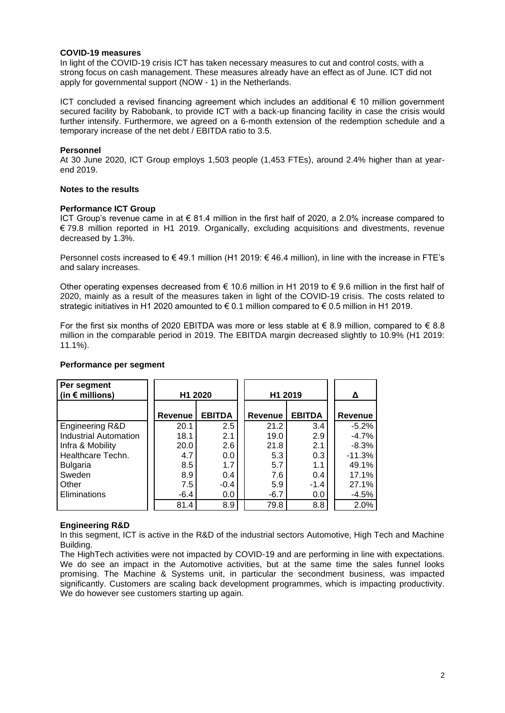## **COVID-19 measures**

In light of the COVID-19 crisis ICT has taken necessary measures to cut and control costs, with a strong focus on cash management. These measures already have an effect as of June. ICT did not apply for governmental support (NOW - 1) in the Netherlands.

ICT concluded a revised financing agreement which includes an additional € 10 million government secured facility by Rabobank, to provide ICT with a back-up financing facility in case the crisis would further intensify. Furthermore, we agreed on a 6-month extension of the redemption schedule and a temporary increase of the net debt / EBITDA ratio to 3.5.

## **Personnel**

At 30 June 2020, ICT Group employs 1,503 people (1,453 FTEs), around 2.4% higher than at yearend 2019.

## **Notes to the results**

## **Performance ICT Group**

ICT Group's revenue came in at  $\epsilon$  81.4 million in the first half of 2020, a 2.0% increase compared to € 79.8 million reported in H1 2019. Organically, excluding acquisitions and divestments, revenue decreased by 1.3%.

Personnel costs increased to € 49.1 million (H1 2019: € 46.4 million), in line with the increase in FTE's and salary increases.

Other operating expenses decreased from  $\epsilon$  10.6 million in H1 2019 to  $\epsilon$  9.6 million in the first half of 2020, mainly as a result of the measures taken in light of the COVID-19 crisis. The costs related to strategic initiatives in H1 2020 amounted to  $\epsilon$  0.1 million compared to  $\epsilon$  0.5 million in H1 2019.

For the first six months of 2020 EBITDA was more or less stable at  $\epsilon$  8.9 million, compared to  $\epsilon$  8.8 million in the comparable period in 2019. The EBITDA margin decreased slightly to 10.9% (H1 2019: 11.1%).

| Per segment<br>(in $\epsilon$ millions) | H1 2020        |               | H1 2019 | Δ             |          |
|-----------------------------------------|----------------|---------------|---------|---------------|----------|
|                                         | <b>Revenue</b> | <b>EBITDA</b> | Revenue | <b>EBITDA</b> | Revenue  |
| Engineering R&D                         | 20.1           | 2.5           | 21.2    | 3.4           | $-5.2%$  |
| <b>Industrial Automation</b>            | 18.1           | 2.1           | 19.0    | 2.9           | $-4.7%$  |
| Infra & Mobility                        | 20.0           | 2.6           | 21.8    | 2.1           | $-8.3%$  |
| Healthcare Techn.                       | 4.7            | 0.0           | 5.3     | 0.3           | $-11.3%$ |
| <b>Bulgaria</b>                         | 8.5            | 1.7           | 5.7     | 1.1           | 49.1%    |
| Sweden                                  | 8.9            | 0.4           | 7.6     | 0.4           | 17.1%    |
| Other                                   | 7.5            | $-0.4$        | 5.9     | $-1.4$        | 27.1%    |
| Eliminations                            | -6.4           | 0.0           | $-6.7$  | 0.0           | $-4.5%$  |
|                                         | 81.4           | 8.9           | 79.8    | 8.8           | 2.0%     |

## **Performance per segment**

## **Engineering R&D**

In this segment, ICT is active in the R&D of the industrial sectors Automotive, High Tech and Machine Building.

The HighTech activities were not impacted by COVID-19 and are performing in line with expectations. We do see an impact in the Automotive activities, but at the same time the sales funnel looks promising. The Machine & Systems unit, in particular the secondment business, was impacted significantly. Customers are scaling back development programmes, which is impacting productivity. We do however see customers starting up again.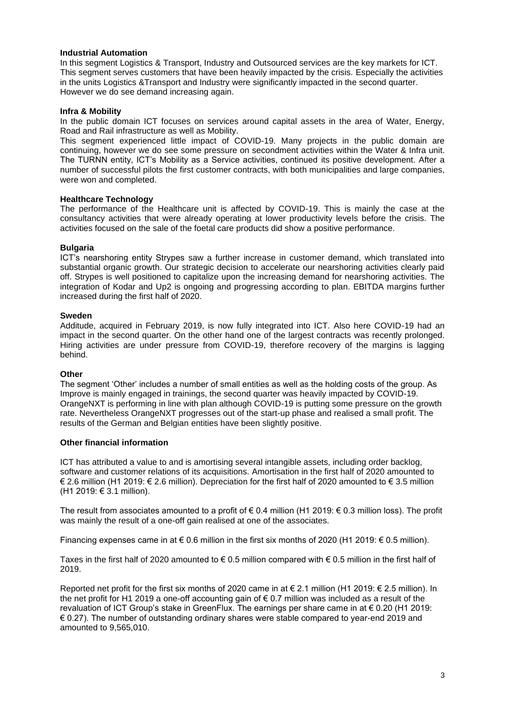## **Industrial Automation**

In this segment Logistics & Transport, Industry and Outsourced services are the key markets for ICT. This segment serves customers that have been heavily impacted by the crisis. Especially the activities in the units Logistics &Transport and Industry were significantly impacted in the second quarter. However we do see demand increasing again.

## **Infra & Mobility**

In the public domain ICT focuses on services around capital assets in the area of Water, Energy, Road and Rail infrastructure as well as Mobility.

This segment experienced little impact of COVID-19. Many projects in the public domain are continuing, however we do see some pressure on secondment activities within the Water & Infra unit. The TURNN entity, ICT's Mobility as a Service activities, continued its positive development. After a number of successful pilots the first customer contracts, with both municipalities and large companies, were won and completed.

## **Healthcare Technology**

The performance of the Healthcare unit is affected by COVID-19. This is mainly the case at the consultancy activities that were already operating at lower productivity levels before the crisis. The activities focused on the sale of the foetal care products did show a positive performance.

## **Bulgaria**

ICT's nearshoring entity Strypes saw a further increase in customer demand, which translated into substantial organic growth. Our strategic decision to accelerate our nearshoring activities clearly paid off. Strypes is well positioned to capitalize upon the increasing demand for nearshoring activities. The integration of Kodar and Up2 is ongoing and progressing according to plan. EBITDA margins further increased during the first half of 2020.

## **Sweden**

Additude, acquired in February 2019, is now fully integrated into ICT. Also here COVID-19 had an impact in the second quarter. On the other hand one of the largest contracts was recently prolonged. Hiring activities are under pressure from COVID-19, therefore recovery of the margins is lagging behind.

## **Other**

The segment 'Other' includes a number of small entities as well as the holding costs of the group. As Improve is mainly engaged in trainings, the second quarter was heavily impacted by COVID-19. OrangeNXT is performing in line with plan although COVID-19 is putting some pressure on the growth rate. Nevertheless OrangeNXT progresses out of the start-up phase and realised a small profit. The results of the German and Belgian entities have been slightly positive.

## **Other financial information**

ICT has attributed a value to and is amortising several intangible assets, including order backlog, software and customer relations of its acquisitions. Amortisation in the first half of 2020 amounted to € 2.6 million (H1 2019: € 2.6 million). Depreciation for the first half of 2020 amounted to € 3.5 million (H1 2019: € 3.1 million).

The result from associates amounted to a profit of  $\epsilon$  0.4 million (H1 2019:  $\epsilon$  0.3 million loss). The profit was mainly the result of a one-off gain realised at one of the associates.

Financing expenses came in at  $\epsilon$  0.6 million in the first six months of 2020 (H1 2019:  $\epsilon$  0.5 million).

Taxes in the first half of 2020 amounted to  $\epsilon$  0.5 million compared with  $\epsilon$  0.5 million in the first half of 2019.

Reported net profit for the first six months of 2020 came in at € 2.1 million (H1 2019: € 2.5 million). In the net profit for H1 2019 a one-off accounting gain of  $\epsilon$  0.7 million was included as a result of the revaluation of ICT Group's stake in GreenFlux. The earnings per share came in at € 0.20 (H1 2019:  $\epsilon$  0.27). The number of outstanding ordinary shares were stable compared to year-end 2019 and amounted to 9,565,010.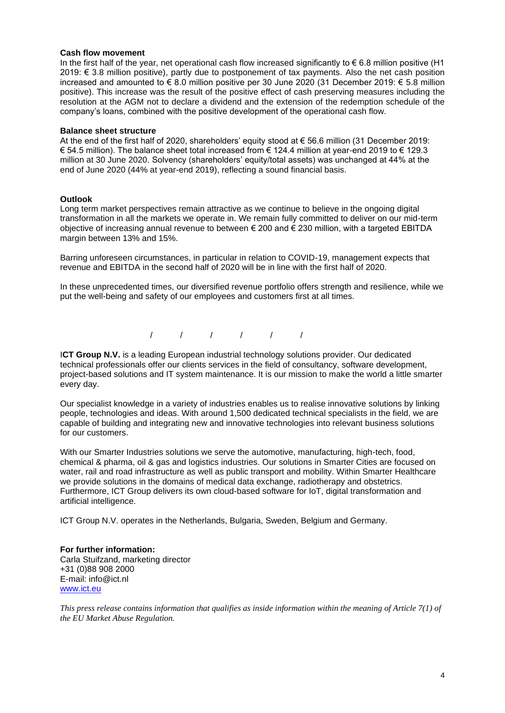## **Cash flow movement**

In the first half of the year, net operational cash flow increased significantly to  $\epsilon$  6.8 million positive (H1 2019: € 3.8 million positive), partly due to postponement of tax payments. Also the net cash position increased and amounted to € 8.0 million positive per 30 June 2020 (31 December 2019: € 5.8 million positive). This increase was the result of the positive effect of cash preserving measures including the resolution at the AGM not to declare a dividend and the extension of the redemption schedule of the company's loans, combined with the positive development of the operational cash flow.

#### **Balance sheet structure**

At the end of the first half of 2020, shareholders' equity stood at € 56.6 million (31 December 2019: € 54.5 million). The balance sheet total increased from € 124.4 million at year-end 2019 to € 129.3 million at 30 June 2020. Solvency (shareholders' equity/total assets) was unchanged at 44% at the end of June 2020 (44% at year-end 2019), reflecting a sound financial basis.

## **Outlook**

Long term market perspectives remain attractive as we continue to believe in the ongoing digital transformation in all the markets we operate in. We remain fully committed to deliver on our mid-term objective of increasing annual revenue to between € 200 and € 230 million, with a targeted EBITDA margin between 13% and 15%.

Barring unforeseen circumstances, in particular in relation to COVID-19, management expects that revenue and EBITDA in the second half of 2020 will be in line with the first half of 2020.

In these unprecedented times, our diversified revenue portfolio offers strength and resilience, while we put the well-being and safety of our employees and customers first at all times.

/ / / / / /

**ICT Group N.V.** is a leading European industrial technology solutions provider. Our dedicated technical professionals offer our clients services in the field of consultancy, software development, project-based solutions and IT system maintenance. It is our mission to make the world a little smarter every day.

Our specialist knowledge in a variety of industries enables us to realise innovative solutions by linking people, technologies and ideas. With around 1,500 dedicated technical specialists in the field, we are capable of building and integrating new and innovative technologies into relevant business solutions for our customers.

With our Smarter Industries solutions we serve the automotive, manufacturing, high-tech, food, chemical & pharma, oil & gas and logistics industries. Our solutions in Smarter Cities are focused on water, rail and road infrastructure as well as public transport and mobility. Within Smarter Healthcare we provide solutions in the domains of medical data exchange, radiotherapy and obstetrics. Furthermore, ICT Group delivers its own cloud-based software for IoT, digital transformation and artificial intelligence.

ICT Group N.V. operates in the Netherlands, Bulgaria, Sweden, Belgium and Germany.

**For further information:**  Carla Stuifzand, marketing director +31 (0)88 908 2000 E-mail: info@ict.nl [www.ict.eu](http://www.ict.eu/)

*This press release contains information that qualifies as inside information within the meaning of Article 7(1) of the EU Market Abuse Regulation.*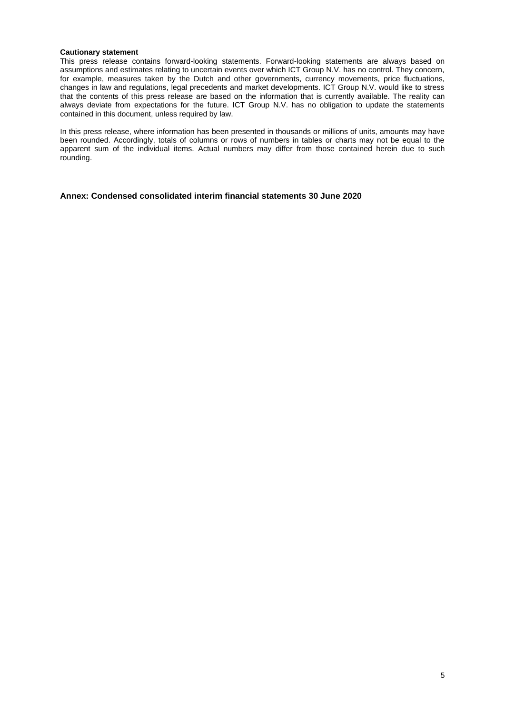#### **Cautionary statement**

This press release contains forward-looking statements. Forward-looking statements are always based on assumptions and estimates relating to uncertain events over which ICT Group N.V. has no control. They concern, for example, measures taken by the Dutch and other governments, currency movements, price fluctuations, changes in law and regulations, legal precedents and market developments. ICT Group N.V. would like to stress that the contents of this press release are based on the information that is currently available. The reality can always deviate from expectations for the future. ICT Group N.V. has no obligation to update the statements contained in this document, unless required by law.

In this press release, where information has been presented in thousands or millions of units, amounts may have been rounded. Accordingly, totals of columns or rows of numbers in tables or charts may not be equal to the apparent sum of the individual items. Actual numbers may differ from those contained herein due to such rounding.

**Annex: Condensed consolidated interim financial statements 30 June 2020**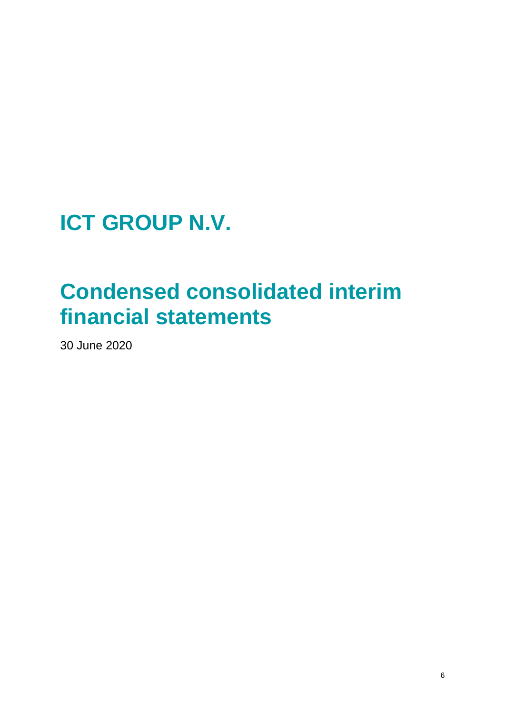**ICT GROUP N.V.**

## **Condensed consolidated interim financial statements**

30 June 2020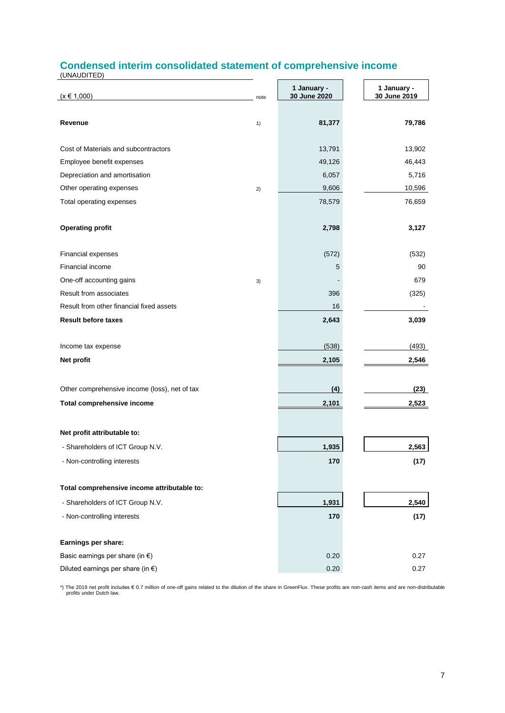## **Condensed interim consolidated statement of comprehensive income**

(UNAUDITED)

| $(x \in 1,000)$                               | note | 1 January -<br>30 June 2020 | 1 January -<br>30 June 2019 |
|-----------------------------------------------|------|-----------------------------|-----------------------------|
|                                               |      |                             |                             |
| Revenue                                       | 1)   | 81,377                      | 79,786                      |
| Cost of Materials and subcontractors          |      | 13,791                      | 13,902                      |
| Employee benefit expenses                     |      | 49,126                      | 46,443                      |
| Depreciation and amortisation                 |      | 6,057                       | 5,716                       |
| Other operating expenses                      | 2)   | 9,606                       | 10,596                      |
| Total operating expenses                      |      | 78,579                      | 76,659                      |
| <b>Operating profit</b>                       |      | 2,798                       | 3,127                       |
| Financial expenses                            |      | (572)                       | (532)                       |
| Financial income                              |      | 5                           | 90                          |
| One-off accounting gains                      | 3)   |                             | 679                         |
| Result from associates                        |      | 396                         | (325)                       |
| Result from other financial fixed assets      |      | 16                          |                             |
| <b>Result before taxes</b>                    |      | 2,643                       | 3,039                       |
| Income tax expense                            |      | (538)                       | (493)                       |
| Net profit                                    |      | 2,105                       | 2,546                       |
| Other comprehensive income (loss), net of tax |      | (4)                         | (23)                        |
| Total comprehensive income                    |      | 2,101                       | 2,523                       |
| Net profit attributable to:                   |      |                             |                             |
| - Shareholders of ICT Group N.V.              |      | 1,935                       | 2,563                       |
| - Non-controlling interests                   |      | 170                         | (17)                        |
| Total comprehensive income attributable to:   |      |                             |                             |
| - Shareholders of ICT Group N.V.              |      | 1,931                       | 2,540                       |
| - Non-controlling interests                   |      | 170                         | (17)                        |
|                                               |      |                             |                             |
| Earnings per share:                           |      |                             |                             |
| Basic earnings per share (in $\epsilon$ )     |      | 0.20                        | 0.27                        |
| Diluted earnings per share (in $\epsilon$ )   |      | 0.20                        | 0.27                        |

\*) The 2019 net profit includes € 0.7 million of one-off gains related to the dilution of the share in GreenFlux. These profits are non-cash items and are non-distributable profits under Dutch law.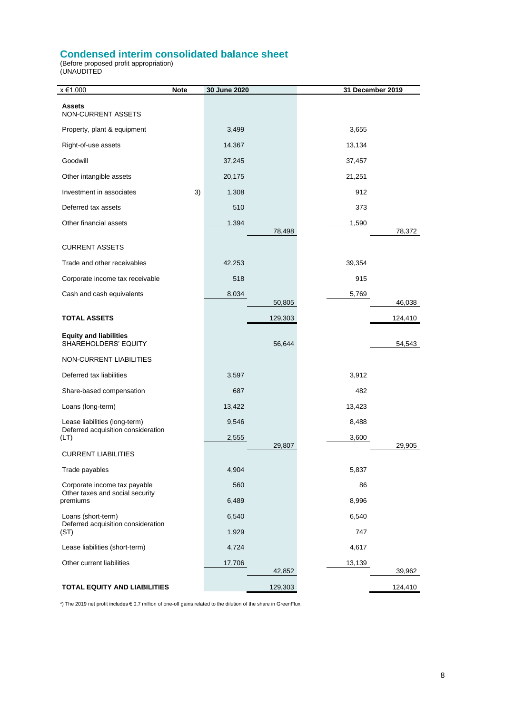## **Condensed interim consolidated balance sheet**

(Before proposed profit appropriation) (UNAUDITED

| x €1.000                                                            | <b>Note</b> | 30 June 2020 |         | 31 December 2019 |         |
|---------------------------------------------------------------------|-------------|--------------|---------|------------------|---------|
| <b>Assets</b><br>NON-CURRENT ASSETS                                 |             |              |         |                  |         |
| Property, plant & equipment                                         |             | 3,499        |         | 3,655            |         |
| Right-of-use assets                                                 |             | 14,367       |         | 13,134           |         |
| Goodwill                                                            |             | 37,245       |         | 37,457           |         |
| Other intangible assets                                             |             | 20,175       |         | 21,251           |         |
| Investment in associates                                            | 3)          | 1,308        |         | 912              |         |
| Deferred tax assets                                                 |             | 510          |         | 373              |         |
| Other financial assets                                              |             | 1,394        |         | 1,590            |         |
| <b>CURRENT ASSETS</b>                                               |             |              | 78,498  |                  | 78,372  |
| Trade and other receivables                                         |             | 42,253       |         | 39,354           |         |
| Corporate income tax receivable                                     |             | 518          |         | 915              |         |
| Cash and cash equivalents                                           |             | 8,034        |         | 5,769            |         |
|                                                                     |             |              | 50,805  |                  | 46,038  |
| <b>TOTAL ASSETS</b>                                                 |             |              | 129,303 |                  | 124,410 |
| <b>Equity and liabilities</b><br>SHAREHOLDERS' EQUITY               |             |              | 56,644  |                  | 54,543  |
| NON-CURRENT LIABILITIES                                             |             |              |         |                  |         |
| Deferred tax liabilities                                            |             | 3,597        |         | 3,912            |         |
| Share-based compensation                                            |             | 687          |         | 482              |         |
| Loans (long-term)                                                   |             | 13,422       |         | 13,423           |         |
| Lease liabilities (long-term)<br>Deferred acquisition consideration |             | 9,546        |         | 8,488            |         |
| (LT)                                                                |             | 2,555        | 29,807  | 3,600            | 29,905  |
| <b>CURRENT LIABILITIES</b>                                          |             |              |         |                  |         |
| Trade payables                                                      |             | 4,904        |         | 5,837            |         |
| Corporate income tax payable<br>Other taxes and social security     |             | 560          |         | 86               |         |
| premiums                                                            |             | 6,489        |         | 8,996            |         |
| Loans (short-term)<br>Deferred acquisition consideration            |             | 6,540        |         | 6,540            |         |
| (ST)                                                                |             | 1,929        |         | 747              |         |
| Lease liabilities (short-term)                                      |             | 4,724        |         | 4,617            |         |
| Other current liabilities                                           |             | 17,706       | 42,852  | 13,139           | 39,962  |
| <b>TOTAL EQUITY AND LIABILITIES</b>                                 |             |              | 129,303 |                  | 124,410 |

\*) The 2019 net profit includes € 0.7 million of one-off gains related to the dilution of the share in GreenFlux.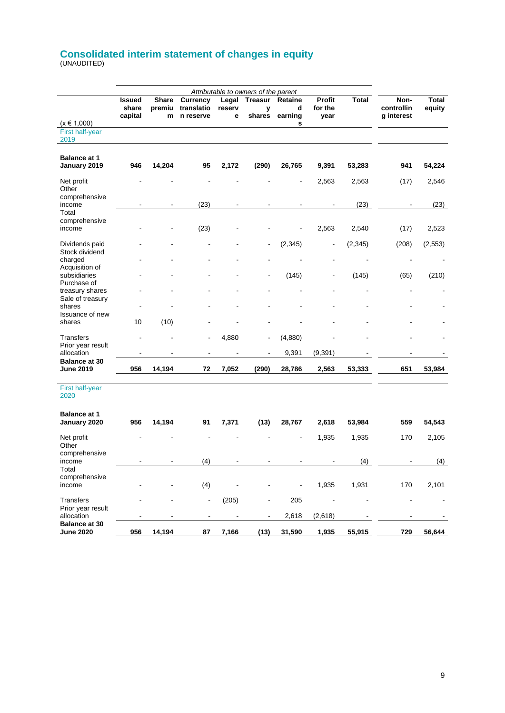## **Consolidated interim statement of changes in equity** (UNAUDITED)

|                                          |                                   |                             |                                     |                      | Attributable to owners of the parent |                         |                           |              |                                  |                              |
|------------------------------------------|-----------------------------------|-----------------------------|-------------------------------------|----------------------|--------------------------------------|-------------------------|---------------------------|--------------|----------------------------------|------------------------------|
|                                          | <b>Issued</b><br>share<br>capital | <b>Share</b><br>premiu<br>m | Currency<br>translatio<br>n reserve | Legal<br>reserv<br>е | <b>Treasur</b><br>у<br>shares        | Retaine<br>d<br>earning | Profit<br>for the<br>year | <b>Total</b> | Non-<br>controllin<br>g interest | <b>Total</b><br>equity       |
| $(x \in 1,000)$                          |                                   |                             |                                     |                      |                                      | s                       |                           |              |                                  |                              |
| First half-year<br>2019                  |                                   |                             |                                     |                      |                                      |                         |                           |              |                                  |                              |
| <b>Balance at 1</b><br>January 2019      | 946                               | 14,204                      | 95                                  | 2,172                | (290)                                | 26,765                  | 9,391                     | 53,283       | 941                              | 54,224                       |
|                                          |                                   |                             |                                     |                      |                                      |                         |                           |              |                                  |                              |
| Net profit<br>Other<br>comprehensive     |                                   |                             |                                     |                      |                                      |                         | 2,563                     | 2,563        | (17)                             | 2,546                        |
| income<br>Total                          |                                   |                             | (23)                                |                      |                                      |                         |                           | (23)         |                                  | (23)                         |
| comprehensive<br>income                  |                                   |                             | (23)                                |                      |                                      |                         | 2,563                     | 2,540        | (17)                             | 2,523                        |
| Dividends paid<br>Stock dividend         |                                   |                             |                                     |                      |                                      | (2, 345)                |                           | (2, 345)     | (208)                            | (2, 553)                     |
| charged<br>Acquisition of                |                                   |                             |                                     |                      |                                      |                         |                           |              |                                  |                              |
| subsidiaries<br>Purchase of              |                                   |                             |                                     |                      |                                      | (145)                   |                           | (145)        | (65)                             | (210)                        |
| treasury shares<br>Sale of treasury      |                                   |                             |                                     |                      |                                      |                         |                           |              |                                  |                              |
| shares                                   |                                   |                             |                                     |                      |                                      |                         |                           |              |                                  |                              |
| Issuance of new<br>shares                | 10                                | (10)                        |                                     |                      |                                      |                         |                           |              |                                  |                              |
| Transfers<br>Prior year result           |                                   |                             | $\blacksquare$                      | 4,880                | $\blacksquare$                       | (4,880)                 |                           |              |                                  |                              |
| allocation                               |                                   |                             |                                     |                      | $\blacksquare$                       | 9,391                   | (9, 391)                  |              |                                  |                              |
| <b>Balance at 30</b><br><b>June 2019</b> | 956                               | 14,194                      | 72                                  | 7,052                | (290)                                | 28,786                  | 2,563                     | 53,333       | 651                              | 53,984                       |
| <b>First half-year</b><br>2020           |                                   |                             |                                     |                      |                                      |                         |                           |              |                                  |                              |
| <b>Balance at 1</b><br>January 2020      | 956                               | 14,194                      | 91                                  | 7,371                | (13)                                 | 28,767                  | 2,618                     | 53,984       | 559                              | 54,543                       |
| Net profit<br>Other                      |                                   |                             |                                     |                      |                                      |                         | 1,935                     | 1,935        | 170                              | 2,105                        |
| comprehensive<br>income<br>Total         |                                   |                             | (4)                                 |                      |                                      |                         |                           | (4)          |                                  | (4)                          |
| comprehensive<br>income                  |                                   |                             | (4)                                 |                      |                                      |                         | 1,935                     | 1,931        | 170                              | 2,101                        |
| Transfers<br>Prior year result           |                                   |                             | $\blacksquare$                      | (205)                | $\overline{\phantom{0}}$             | 205                     |                           |              |                                  | $\qquad \qquad \blacksquare$ |
| allocation<br><b>Balance at 30</b>       |                                   |                             |                                     | $\overline{a}$       | $\overline{\phantom{0}}$             | 2,618                   | (2,618)                   |              |                                  |                              |
| <b>June 2020</b>                         | 956                               | 14,194                      | 87                                  | 7,166                | (13)                                 | 31,590                  | 1,935                     | 55,915       | 729                              | 56,644                       |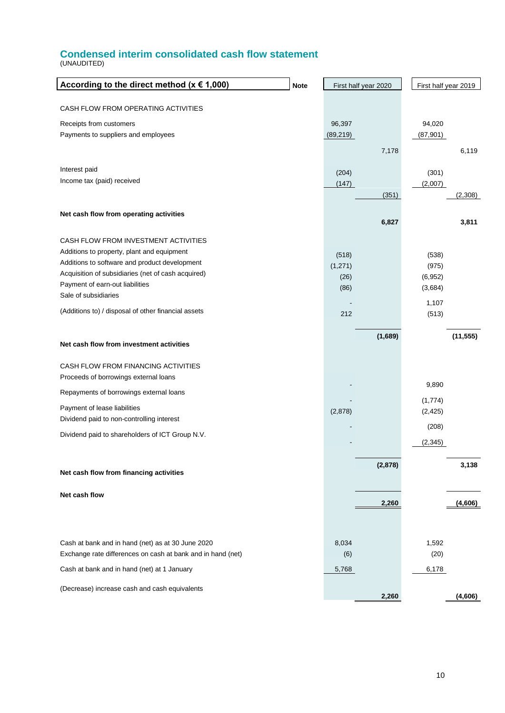## **Condensed interim consolidated cash flow statement**

(UNAUDITED)

| According to the direct method ( $x \in 1,000$ )<br><b>Note</b>                                                  |                     | First half year 2020 | First half year 2019 |           |
|------------------------------------------------------------------------------------------------------------------|---------------------|----------------------|----------------------|-----------|
| CASH FLOW FROM OPERATING ACTIVITIES                                                                              |                     |                      |                      |           |
|                                                                                                                  |                     |                      |                      |           |
| Receipts from customers<br>Payments to suppliers and employees                                                   | 96,397<br>(89, 219) |                      | 94,020<br>(87, 901)  |           |
|                                                                                                                  |                     |                      |                      |           |
|                                                                                                                  |                     | 7,178                |                      | 6,119     |
| Interest paid                                                                                                    | (204)               |                      | (301)                |           |
| Income tax (paid) received                                                                                       | (147)               |                      | (2,007)              |           |
|                                                                                                                  |                     | (351)                |                      | (2,308)   |
| Net cash flow from operating activities                                                                          |                     |                      |                      |           |
|                                                                                                                  |                     | 6,827                |                      | 3,811     |
| CASH FLOW FROM INVESTMENT ACTIVITIES                                                                             |                     |                      |                      |           |
| Additions to property, plant and equipment                                                                       | (518)               |                      | (538)                |           |
| Additions to software and product development                                                                    | (1,271)             |                      | (975)                |           |
| Acquisition of subsidiaries (net of cash acquired)<br>Payment of earn-out liabilities                            | (26)                |                      | (6, 952)             |           |
| Sale of subsidiaries                                                                                             | (86)                |                      | (3,684)              |           |
| (Additions to) / disposal of other financial assets                                                              |                     |                      | 1,107                |           |
|                                                                                                                  | 212                 |                      | (513)                |           |
|                                                                                                                  |                     | (1,689)              |                      | (11, 555) |
| Net cash flow from investment activities                                                                         |                     |                      |                      |           |
| CASH FLOW FROM FINANCING ACTIVITIES                                                                              |                     |                      |                      |           |
| Proceeds of borrowings external loans                                                                            |                     |                      | 9,890                |           |
| Repayments of borrowings external loans                                                                          |                     |                      |                      |           |
| Payment of lease liabilities                                                                                     | (2,878)             |                      | (1,774)<br>(2, 425)  |           |
| Dividend paid to non-controlling interest                                                                        |                     |                      | (208)                |           |
| Dividend paid to shareholders of ICT Group N.V.                                                                  |                     |                      |                      |           |
|                                                                                                                  |                     |                      | (2, 345)             |           |
|                                                                                                                  |                     | (2,878)              |                      | 3,138     |
| Net cash flow from financing activities                                                                          |                     |                      |                      |           |
| Net cash flow                                                                                                    |                     |                      |                      |           |
|                                                                                                                  |                     | 2,260                |                      | (4,606)   |
|                                                                                                                  |                     |                      |                      |           |
|                                                                                                                  |                     |                      |                      |           |
| Cash at bank and in hand (net) as at 30 June 2020<br>Exchange rate differences on cash at bank and in hand (net) | 8,034<br>(6)        |                      | 1,592<br>(20)        |           |
| Cash at bank and in hand (net) at 1 January                                                                      | 5,768               |                      | 6,178                |           |
|                                                                                                                  |                     |                      |                      |           |
| (Decrease) increase cash and cash equivalents                                                                    |                     | 2,260                |                      | (4,606)   |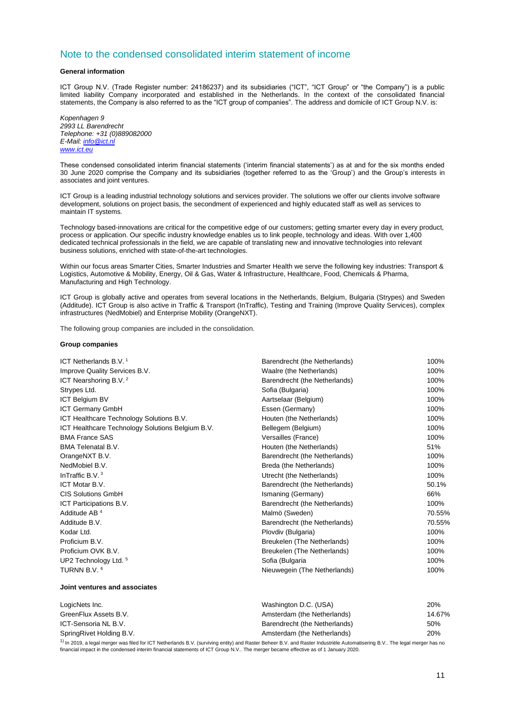## Note to the condensed consolidated interim statement of income

#### **General information**

ICT Group N.V. (Trade Register number: 24186237) and its subsidiaries ("ICT", "ICT Group" or "the Company") is a public limited liability Company incorporated and established in the Netherlands. In the context of the consolidated financial statements, the Company is also referred to as the "ICT group of companies". The address and domicile of ICT Group N.V. is:

*Kopenhagen 9 2993 LL Barendrecht Telephone: +31 (0)889082000 E-Mail: [info@ict.nl](mailto:info@ict.nl) [www.ict.eu](http://www.ict.eu/)*

These condensed consolidated interim financial statements ('interim financial statements') as at and for the six months ended 30 June 2020 comprise the Company and its subsidiaries (together referred to as the 'Group') and the Group's interests in associates and joint ventures.

ICT Group is a leading industrial technology solutions and services provider. The solutions we offer our clients involve software development, solutions on project basis, the secondment of experienced and highly educated staff as well as services to maintain IT systems.

Technology based-innovations are critical for the competitive edge of our customers; getting smarter every day in every product, process or application. Our specific industry knowledge enables us to link people, technology and ideas. With over 1,400 dedicated technical professionals in the field, we are capable of translating new and innovative technologies into relevant business solutions, enriched with state-of-the-art technologies.

Within our focus areas Smarter Cities, Smarter Industries and Smarter Health we serve the following key industries: Transport & Logistics, Automotive & Mobility, Energy, Oil & Gas, Water & Infrastructure, Healthcare, Food, Chemicals & Pharma, Manufacturing and High Technology.

ICT Group is globally active and operates from several locations in the Netherlands, Belgium, Bulgaria (Strypes) and Sweden (Additude). ICT Group is also active in Traffic & Transport (InTraffic), Testing and Training (Improve Quality Services), complex infrastructures (NedMobiel) and Enterprise Mobility (OrangeNXT).

The following group companies are included in the consolidation.

#### **Group companies**

| ICT Netherlands B.V. <sup>1</sup>                | Barendrecht (the Netherlands) | 100%   |
|--------------------------------------------------|-------------------------------|--------|
| Improve Quality Services B.V.                    | Waalre (the Netherlands)      | 100%   |
| ICT Nearshoring B.V. <sup>2</sup>                | Barendrecht (the Netherlands) | 100%   |
| Strypes Ltd.                                     | Sofia (Bulgaria)              | 100%   |
| <b>ICT Belgium BV</b>                            | Aartselaar (Belgium)          | 100%   |
| <b>ICT Germany GmbH</b>                          | Essen (Germany)               | 100%   |
| ICT Healthcare Technology Solutions B.V.         | Houten (the Netherlands)      | 100%   |
| ICT Healthcare Technology Solutions Belgium B.V. | Bellegem (Belgium)            | 100%   |
| <b>BMA France SAS</b>                            | Versailles (France)           | 100%   |
| <b>BMA Telenatal B.V.</b>                        | Houten (the Netherlands)      | 51%    |
| OrangeNXT B.V.                                   | Barendrecht (the Netherlands) | 100%   |
| NedMobiel B.V.                                   | Breda (the Netherlands)       | 100%   |
| InTraffic B.V. <sup>3</sup>                      | Utrecht (the Netherlands)     | 100%   |
| ICT Motar B.V.                                   | Barendrecht (the Netherlands) | 50.1%  |
| <b>CIS Solutions GmbH</b>                        | Ismaning (Germany)            | 66%    |
| ICT Participations B.V.                          | Barendrecht (the Netherlands) | 100%   |
| Additude AB <sup>4</sup>                         | Malmö (Sweden)                | 70.55% |
| Additude B.V.                                    | Barendrecht (the Netherlands) | 70.55% |
| Kodar Ltd.                                       | Plovdiv (Bulgaria)            | 100%   |
| Proficium B.V.                                   | Breukelen (The Netherlands)   | 100%   |
| Proficium OVK B.V.                               | Breukelen (The Netherlands)   | 100%   |
| UP2 Technology Ltd. <sup>5</sup>                 | Sofia (Bulgaria               | 100%   |
| TURNN B.V. 6                                     | Nieuwegein (The Netherlands)  | 100%   |

#### **Joint ventures and associates**

| LogicNets Inc.           | Washington D.C. (USA)         | 20%    |
|--------------------------|-------------------------------|--------|
| GreenFlux Assets B.V.    | Amsterdam (the Netherlands)   | 14.67% |
| ICT-Sensoria NL B.V.     | Barendrecht (the Netherlands) | 50%    |
| SpringRivet Holding B.V. | Amsterdam (the Netherlands)   | 20%    |

<sup>1)</sup> In 2019, a legal merger was filed for ICT Netherlands B.V. (surviving entity) and Raster Beheer B.V. and Raster Industriële Automatisering B.V.. The legal merger has no<br>financial impact in the condensed interim financ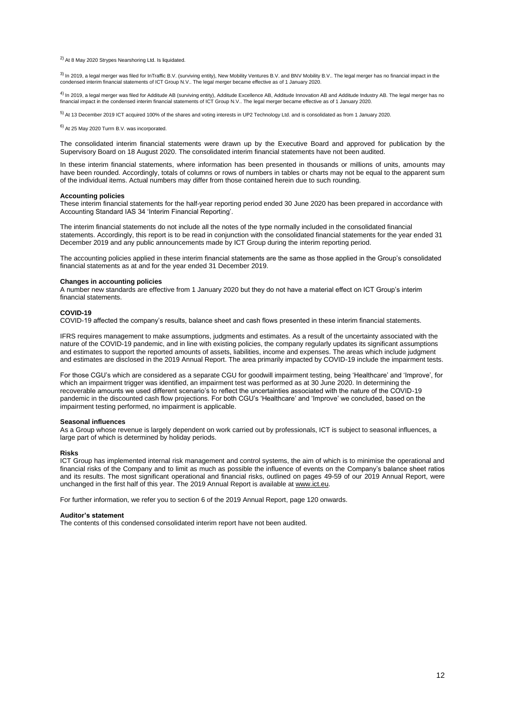2) At 8 May 2020 Strypes Nearshoring Ltd. Is liquidated.

<sup>3)</sup> In 2019, a legal merger was filed for InTraffic B.V. (surviving entity), New Mobility Ventures B.V. and BNV Mobility B.V.. The legal merger has no financial impact in the condensed interim financial statements of ICT Group N.V.. The legal merger became effective as of 1 January 2020.

 $^{4)}$  In 2019, a legal merger was filed for Additude AB (surviving entity), Additude Excellence AB, Additude Innovation AB and Additude Industry AB. The legal merger has no financial impact in the condensed interim financial statements of ICT Group N.V.. The legal merger became effective as of 1 January 2020.

 $5)$  At 13 December 2019 ICT acquired 100% of the shares and voting interests in UP2 Technology Ltd. and is consolidated as from 1 January 2020.

6) At 25 May 2020 Turrn B.V. was incorporated.

The consolidated interim financial statements were drawn up by the Executive Board and approved for publication by the Supervisory Board on 18 August 2020. The consolidated interim financial statements have not been audited.

In these interim financial statements, where information has been presented in thousands or millions of units, amounts may have been rounded. Accordingly, totals of columns or rows of numbers in tables or charts may not be equal to the apparent sum of the individual items. Actual numbers may differ from those contained herein due to such rounding.

#### **Accounting policies**

These interim financial statements for the half-year reporting period ended 30 June 2020 has been prepared in accordance with Accounting Standard IAS 34 'Interim Financial Reporting'.

The interim financial statements do not include all the notes of the type normally included in the consolidated financial statements. Accordingly, this report is to be read in conjunction with the consolidated financial statements for the year ended 31 December 2019 and any public announcements made by ICT Group during the interim reporting period.

The accounting policies applied in these interim financial statements are the same as those applied in the Group's consolidated financial statements as at and for the year ended 31 December 2019.

#### **Changes in accounting policies**

A number new standards are effective from 1 January 2020 but they do not have a material effect on ICT Group's interim financial statements.

#### **COVID-19**

COVID-19 affected the company's results, balance sheet and cash flows presented in these interim financial statements.

IFRS requires management to make assumptions, judgments and estimates. As a result of the uncertainty associated with the nature of the COVID-19 pandemic, and in line with existing policies, the company regularly updates its significant assumptions and estimates to support the reported amounts of assets, liabilities, income and expenses. The areas which include judgment and estimates are disclosed in the 2019 Annual Report. The area primarily impacted by COVID-19 include the impairment tests.

For those CGU's which are considered as a separate CGU for goodwill impairment testing, being 'Healthcare' and 'Improve', for which an impairment trigger was identified, an impairment test was performed as at 30 June 2020. In determining the recoverable amounts we used different scenario's to reflect the uncertainties associated with the nature of the COVID-19 pandemic in the discounted cash flow projections. For both CGU's 'Healthcare' and 'Improve' we concluded, based on the impairment testing performed, no impairment is applicable.

#### **Seasonal influences**

As a Group whose revenue is largely dependent on work carried out by professionals, ICT is subject to seasonal influences, a large part of which is determined by holiday periods.

#### **Risks**

ICT Group has implemented internal risk management and control systems, the aim of which is to minimise the operational and financial risks of the Company and to limit as much as possible the influence of events on the Company's balance sheet ratios and its results. The most significant operational and financial risks, outlined on pages 49-59 of our 2019 Annual Report, were unchanged in the first half of this year. The 2019 Annual Report is available a[t www.ict.eu.](http://www.ict.nl/)

For further information, we refer you to section 6 of the 2019 Annual Report, page 120 onwards.

#### **Auditor's statement**

The contents of this condensed consolidated interim report have not been audited.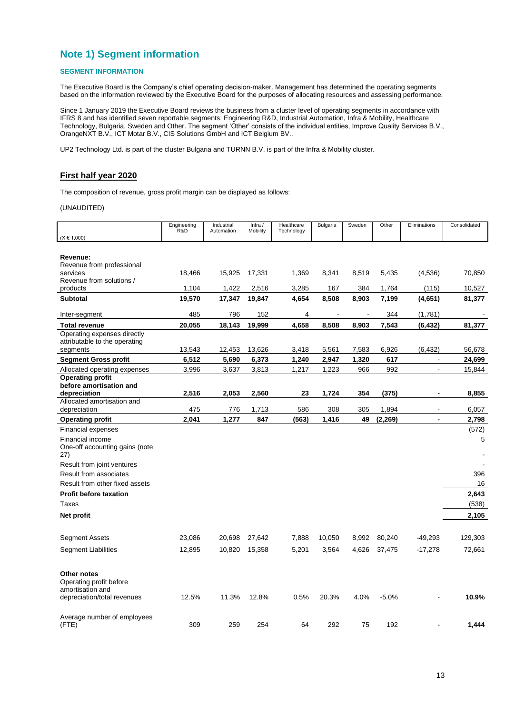## **Note 1) Segment information**

## **SEGMENT INFORMATION**

The Executive Board is the Company's chief operating decision-maker. Management has determined the operating segments based on the information reviewed by the Executive Board for the purposes of allocating resources and assessing performance.

Since 1 January 2019 the Executive Board reviews the business from a cluster level of operating segments in accordance with IFRS 8 and has identified seven reportable segments: Engineering R&D, Industrial Automation, Infra & Mobility, Healthcare Technology, Bulgaria, Sweden and Other. The segment 'Other' consists of the individual entities, Improve Quality Services B.V., OrangeNXT B.V., ICT Motar B.V., CIS Solutions GmbH and ICT Belgium BV..

UP2 Technology Ltd. is part of the cluster Bulgaria and TURNN B.V. is part of the Infra & Mobility cluster.

## **First half year 2020**

The composition of revenue, gross profit margin can be displayed as follows:

(UNAUDITED)

|                                            | Engineering<br>R&D | Industrial<br>Automation | Infra /<br>Mobility | Healthcare<br>Technology | Bulgaria | Sweden | Other    | Eliminations             | Consolidated |
|--------------------------------------------|--------------------|--------------------------|---------------------|--------------------------|----------|--------|----------|--------------------------|--------------|
| $(X \in 1,000)$                            |                    |                          |                     |                          |          |        |          |                          |              |
|                                            |                    |                          |                     |                          |          |        |          |                          |              |
| Revenue:                                   |                    |                          |                     |                          |          |        |          |                          |              |
| Revenue from professional                  |                    |                          |                     |                          |          |        |          |                          |              |
| services                                   | 18,466             | 15,925                   | 17,331              | 1,369                    | 8,341    | 8,519  | 5,435    | (4,536)                  | 70,850       |
| Revenue from solutions /<br>products       | 1,104              | 1,422                    |                     | 3,285                    |          | 384    | 1,764    | (115)                    | 10,527       |
|                                            |                    |                          | 2,516               |                          | 167      |        |          |                          |              |
| <b>Subtotal</b>                            | 19,570             | 17,347                   | 19,847              | 4,654                    | 8,508    | 8,903  | 7,199    | (4,651)                  | 81,377       |
| Inter-segment                              | 485                | 796                      | 152                 | 4                        |          |        | 344      | (1,781)                  |              |
| <b>Total revenue</b>                       | 20,055             | 18,143                   | 19,999              | 4,658                    | 8,508    | 8,903  | 7,543    | (6, 432)                 | 81,377       |
| Operating expenses directly                |                    |                          |                     |                          |          |        |          |                          |              |
| attributable to the operating              |                    |                          |                     |                          |          |        |          |                          |              |
| segments                                   | 13,543             | 12,453                   | 13,626              | 3,418                    | 5,561    | 7,583  | 6,926    | (6, 432)                 | 56,678       |
| <b>Segment Gross profit</b>                | 6,512              | 5,690                    | 6,373               | 1,240                    | 2,947    | 1,320  | 617      | $\blacksquare$           | 24,699       |
| Allocated operating expenses               | 3,996              | 3,637                    | 3,813               | 1,217                    | 1,223    | 966    | 992      | $\blacksquare$           | 15,844       |
| <b>Operating profit</b>                    |                    |                          |                     |                          |          |        |          |                          |              |
| before amortisation and                    |                    |                          |                     |                          |          |        |          |                          |              |
| depreciation                               | 2,516              | 2,053                    | 2,560               | 23                       | 1,724    | 354    | (375)    | $\blacksquare$           | 8,855        |
| Allocated amortisation and<br>depreciation | 475                | 776                      | 1,713               | 586                      | 308      | 305    | 1,894    | $\overline{\phantom{a}}$ | 6,057        |
| <b>Operating profit</b>                    | 2,041              | 1,277                    | 847                 | (563)                    | 1,416    | 49     | (2, 269) | $\blacksquare$           | 2,798        |
| <b>Financial expenses</b>                  |                    |                          |                     |                          |          |        |          |                          | (572)        |
| Financial income                           |                    |                          |                     |                          |          |        |          |                          | 5            |
| One-off accounting gains (note             |                    |                          |                     |                          |          |        |          |                          |              |
| 27)                                        |                    |                          |                     |                          |          |        |          |                          |              |
| Result from joint ventures                 |                    |                          |                     |                          |          |        |          |                          |              |
| <b>Result from associates</b>              |                    |                          |                     |                          |          |        |          |                          | 396          |
| Result from other fixed assets             |                    |                          |                     |                          |          |        |          |                          | 16           |
| <b>Profit before taxation</b>              |                    |                          |                     |                          |          |        |          |                          | 2,643        |
| Taxes                                      |                    |                          |                     |                          |          |        |          |                          |              |
|                                            |                    |                          |                     |                          |          |        |          |                          | (538)        |
| Net profit                                 |                    |                          |                     |                          |          |        |          |                          | 2,105        |
| <b>Segment Assets</b>                      | 23,086             | 20,698                   | 27,642              | 7,888                    | 10,050   | 8,992  | 80,240   | $-49,293$                | 129,303      |
|                                            |                    |                          |                     |                          |          |        |          |                          |              |
| Segment Liabilities                        | 12,895             | 10,820                   | 15,358              | 5,201                    | 3,564    | 4,626  | 37,475   | $-17,278$                | 72,661       |
| <b>Other notes</b>                         |                    |                          |                     |                          |          |        |          |                          |              |
| Operating profit before                    |                    |                          |                     |                          |          |        |          |                          |              |
| amortisation and                           |                    |                          |                     |                          |          |        |          |                          |              |
| depreciation/total revenues                | 12.5%              | 11.3%                    | 12.8%               | 0.5%                     | 20.3%    | 4.0%   | $-5.0%$  |                          | 10.9%        |
|                                            |                    |                          |                     |                          |          |        |          |                          |              |
| Average number of employees                |                    |                          |                     |                          |          |        |          |                          |              |
| (FTE)                                      | 309                | 259                      | 254                 | 64                       | 292      | 75     | 192      |                          | 1,444        |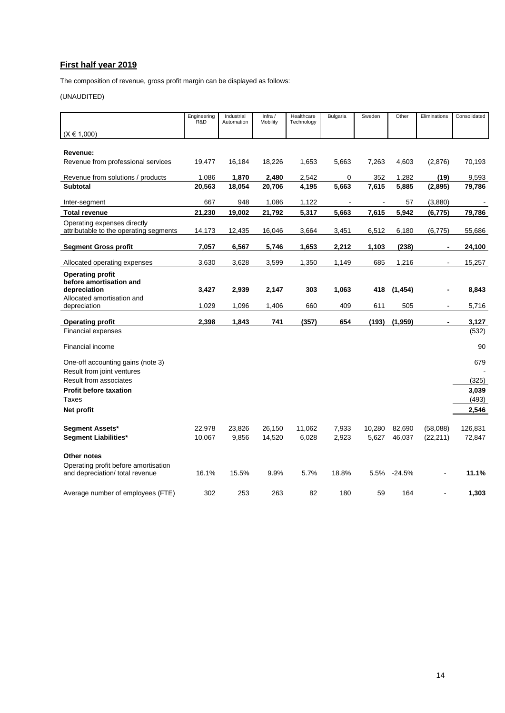## **First half year 2019**

The composition of revenue, gross profit margin can be displayed as follows:

## (UNAUDITED)

|                                                                         | Engineering<br>R&D | Industrial<br>Automation | Infra /<br>Mobility | Healthcare<br>Technology | <b>Bulgaria</b> | Sweden | Other    | Eliminations   | Consolidated |
|-------------------------------------------------------------------------|--------------------|--------------------------|---------------------|--------------------------|-----------------|--------|----------|----------------|--------------|
| $(X \in 1,000)$                                                         |                    |                          |                     |                          |                 |        |          |                |              |
|                                                                         |                    |                          |                     |                          |                 |        |          |                |              |
| Revenue:                                                                |                    |                          |                     |                          |                 |        |          |                |              |
| Revenue from professional services                                      | 19,477             | 16,184                   | 18,226              | 1,653                    | 5,663           | 7,263  | 4,603    | (2,876)        | 70,193       |
| Revenue from solutions / products                                       | 1,086              | 1,870                    | 2,480               | 2,542                    | 0               | 352    | 1,282    | (19)           | 9,593        |
| <b>Subtotal</b>                                                         | 20,563             | 18,054                   | 20,706              | 4,195                    | 5,663           | 7,615  | 5,885    | (2,895)        | 79,786       |
| Inter-segment                                                           | 667                | 948                      | 1,086               | 1,122                    |                 |        | 57       | (3,880)        |              |
| <b>Total revenue</b>                                                    | 21,230             | 19,002                   | 21,792              | 5,317                    | 5,663           | 7,615  | 5,942    | (6, 775)       | 79,786       |
| Operating expenses directly<br>attributable to the operating segments   | 14,173             | 12,435                   | 16,046              | 3,664                    | 3,451           | 6,512  | 6,180    | (6, 775)       | 55,686       |
| <b>Segment Gross profit</b>                                             | 7,057              | 6,567                    | 5,746               | 1,653                    | 2,212           | 1,103  | (238)    |                | 24,100       |
| Allocated operating expenses                                            | 3,630              | 3,628                    | 3,599               | 1,350                    | 1,149           | 685    | 1,216    |                | 15,257       |
| <b>Operating profit</b><br>before amortisation and                      |                    |                          |                     |                          |                 |        |          |                |              |
| depreciation                                                            | 3,427              | 2,939                    | 2,147               | 303                      | 1,063           | 418    | (1, 454) | $\blacksquare$ | 8,843        |
| Allocated amortisation and<br>depreciation                              | 1,029              | 1,096                    | 1,406               | 660                      | 409             | 611    | 505      | $\blacksquare$ | 5,716        |
| <b>Operating profit</b>                                                 | 2,398              | 1,843                    | 741                 | (357)                    | 654             | (193)  | (1,959)  |                | 3,127        |
| <b>Financial expenses</b>                                               |                    |                          |                     |                          |                 |        |          |                | (532)        |
| Financial income                                                        |                    |                          |                     |                          |                 |        |          |                | 90           |
| One-off accounting gains (note 3)                                       |                    |                          |                     |                          |                 |        |          |                | 679          |
| Result from joint ventures<br>Result from associates                    |                    |                          |                     |                          |                 |        |          |                | (325)        |
| <b>Profit before taxation</b>                                           |                    |                          |                     |                          |                 |        |          |                | 3,039        |
| Taxes                                                                   |                    |                          |                     |                          |                 |        |          |                | (493)        |
| Net profit                                                              |                    |                          |                     |                          |                 |        |          |                | 2,546        |
|                                                                         |                    |                          |                     |                          |                 |        |          |                |              |
| Segment Assets*                                                         | 22,978             | 23,826                   | 26,150              | 11,062                   | 7,933           | 10,280 | 82,690   | (58,088)       | 126,831      |
| Segment Liabilities*                                                    | 10,067             | 9,856                    | 14,520              | 6,028                    | 2,923           | 5,627  | 46,037   | (22, 211)      | 72,847       |
| Other notes                                                             |                    |                          |                     |                          |                 |        |          |                |              |
| Operating profit before amortisation<br>and depreciation/ total revenue | 16.1%              | 15.5%                    | 9.9%                | 5.7%                     | 18.8%           | 5.5%   | $-24.5%$ |                | 11.1%        |
| Average number of employees (FTE)                                       | 302                | 253                      | 263                 | 82                       | 180             | 59     | 164      |                | 1,303        |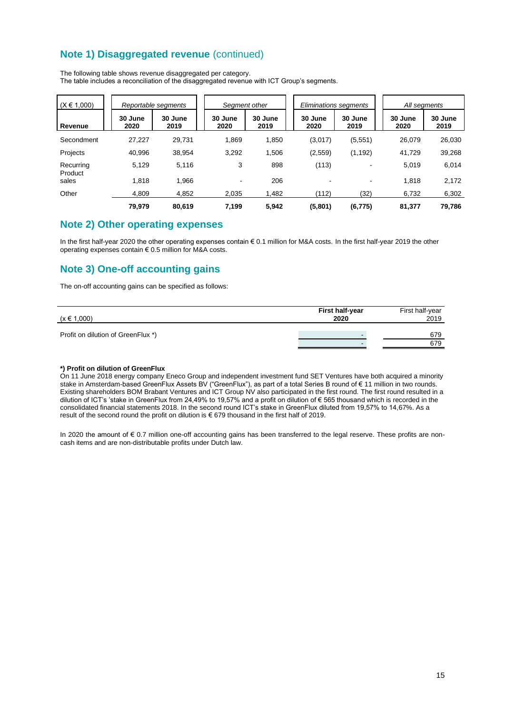## **Note 1) Disaggregated revenue** (continued)

| $(X \in 1,000)$      |                 | Reportable segments |                 | Seament other   |  | Eliminations seaments |                 |  | All segments    |                 |
|----------------------|-----------------|---------------------|-----------------|-----------------|--|-----------------------|-----------------|--|-----------------|-----------------|
| Revenue              | 30 June<br>2020 | 30 June<br>2019     | 30 June<br>2020 | 30 June<br>2019 |  | 30 June<br>2020       | 30 June<br>2019 |  | 30 June<br>2020 | 30 June<br>2019 |
| Secondment           | 27,227          | 29.731              | 1,869           | 1,850           |  | (3,017)               | (5,551)         |  | 26.079          | 26,030          |
| Projects             | 40.996          | 38,954              | 3,292           | 1,506           |  | (2,559)               | (1, 192)        |  | 41,729          | 39,268          |
| Recurring<br>Product | 5,129           | 5,116               | 3               | 898             |  | (113)                 |                 |  | 5,019           | 6,014           |
| sales                | 1,818           | 1,966               |                 | 206             |  |                       |                 |  | 1,818           | 2,172           |
| Other                | 4.809           | 4,852               | 2,035           | 1,482           |  | (112)                 | (32)            |  | 6,732           | 6,302           |
|                      | 79.979          | 80.619              | 7.199           | 5.942           |  | (5,801)               | (6, 775)        |  | 81.377          | 79,786          |

The following table shows revenue disaggregated per category. The table includes a reconciliation of the disaggregated revenue with ICT Group's segments.

## **Note 2) Other operating expenses**

In the first half-year 2020 the other operating expenses contain € 0.1 million for M&A costs. In the first half-year 2019 the other operating expenses contain € 0.5 million for M&A costs.

## **Note 3) One-off accounting gains**

The on-off accounting gains can be specified as follows:

| $(x \in 1,000)$                    | <b>First half-year</b><br>2020 | First half-year<br>2019 |
|------------------------------------|--------------------------------|-------------------------|
| Profit on dilution of GreenFlux *) |                                | 679                     |
|                                    |                                | 679                     |

#### **\*) Profit on dilution of GreenFlux**

On 11 June 2018 energy company Eneco Group and independent investment fund SET Ventures have both acquired a minority stake in Amsterdam-based GreenFlux Assets BV ("GreenFlux"), as part of a total Series B round of € 11 million in two rounds. Existing shareholders BOM Brabant Ventures and ICT Group NV also participated in the first round. The first round resulted in a dilution of ICT's 'stake in GreenFlux from 24,49% to 19,57% and a profit on dilution of € 565 thousand which is recorded in the consolidated financial statements 2018. In the second round ICT's stake in GreenFlux diluted from 19,57% to 14,67%. As a result of the second round the profit on dilution is € 679 thousand in the first half of 2019.

In 2020 the amount of € 0.7 million one-off accounting gains has been transferred to the legal reserve. These profits are noncash items and are non-distributable profits under Dutch law.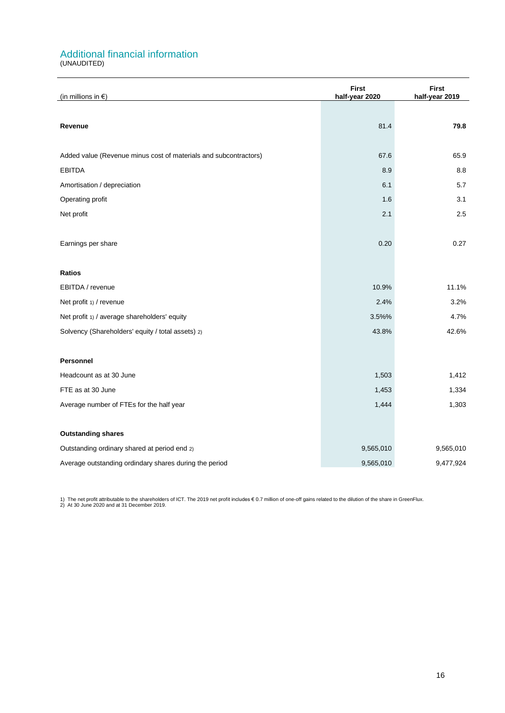## Additional financial information

(UNAUDITED)

| (in millions in $\epsilon$ )                                     | <b>First</b><br>half-year 2020 | <b>First</b><br>half-year 2019 |  |
|------------------------------------------------------------------|--------------------------------|--------------------------------|--|
|                                                                  |                                |                                |  |
| Revenue                                                          | 81.4                           | 79.8                           |  |
|                                                                  |                                |                                |  |
| Added value (Revenue minus cost of materials and subcontractors) | 67.6                           | 65.9                           |  |
| <b>EBITDA</b>                                                    | 8.9                            | 8.8                            |  |
| Amortisation / depreciation                                      | 6.1                            | 5.7                            |  |
| Operating profit                                                 | 1.6                            | 3.1                            |  |
| Net profit                                                       | 2.1                            | 2.5                            |  |
|                                                                  |                                |                                |  |
| Earnings per share                                               | 0.20                           | 0.27                           |  |
|                                                                  |                                |                                |  |
| <b>Ratios</b>                                                    |                                |                                |  |
| EBITDA / revenue                                                 | 10.9%                          | 11.1%                          |  |
| Net profit 1) / revenue                                          | 2.4%                           | 3.2%                           |  |
| Net profit 1) / average shareholders' equity                     | 3.5%%                          | 4.7%                           |  |
| Solvency (Shareholders' equity / total assets) 2)                | 43.8%                          | 42.6%                          |  |
|                                                                  |                                |                                |  |
| Personnel                                                        |                                |                                |  |
| Headcount as at 30 June                                          | 1,503                          | 1,412                          |  |
| FTE as at 30 June                                                | 1,453                          | 1,334                          |  |
| Average number of FTEs for the half year                         | 1,444                          | 1,303                          |  |
|                                                                  |                                |                                |  |
| <b>Outstanding shares</b>                                        |                                |                                |  |
| Outstanding ordinary shared at period end 2)                     | 9,565,010                      | 9,565,010                      |  |
| Average outstanding ordindary shares during the period           | 9,565,010                      | 9,477,924                      |  |

1) The net profit attributable to the shareholders of ICT. The 2019 net profit includes € 0.7 million of one-off gains related to the dilution of the share in GreenFlux.<br>2) At 30 June 2020 and at 31 December 2019.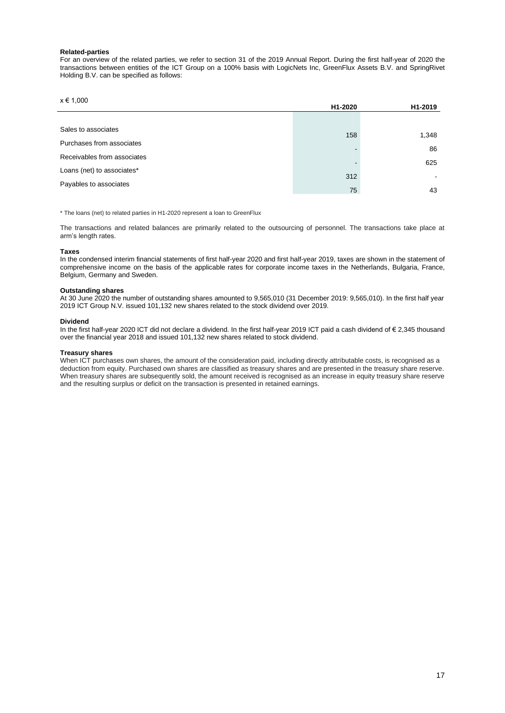#### **Related-parties**

For an overview of the related parties, we refer to section 31 of the 2019 Annual Report. During the first half-year of 2020 the transactions between entities of the ICT Group on a 100% basis with LogicNets Inc, GreenFlux Assets B.V. and SpringRivet Holding B.V. can be specified as follows:

#### $x \in 1,000$

|                             | H1-2020  | H <sub>1</sub> -2019 |
|-----------------------------|----------|----------------------|
|                             |          |                      |
| Sales to associates         | 158      | 1,348                |
| Purchases from associates   |          |                      |
| Receivables from associates | <b>-</b> | 86                   |
| Loans (net) to associates*  | -        | 625                  |
|                             | 312      |                      |
| Payables to associates      | 75       | 43                   |

\* The loans (net) to related parties in H1-2020 represent a loan to GreenFlux

The transactions and related balances are primarily related to the outsourcing of personnel. The transactions take place at arm's length rates.

#### **Taxes**

In the condensed interim financial statements of first half-year 2020 and first half-year 2019, taxes are shown in the statement of comprehensive income on the basis of the applicable rates for corporate income taxes in the Netherlands, Bulgaria, France, Belgium, Germany and Sweden.

#### **Outstanding shares**

At 30 June 2020 the number of outstanding shares amounted to 9,565,010 (31 December 2019: 9,565,010). In the first half year 2019 ICT Group N.V. issued 101,132 new shares related to the stock dividend over 2019.

#### **Dividend**

In the first half-year 2020 ICT did not declare a dividend. In the first half-year 2019 ICT paid a cash dividend of € 2,345 thousand over the financial year 2018 and issued 101,132 new shares related to stock dividend.

#### **Treasury shares**

When ICT purchases own shares, the amount of the consideration paid, including directly attributable costs, is recognised as a deduction from equity. Purchased own shares are classified as treasury shares and are presented in the treasury share reserve. When treasury shares are subsequently sold, the amount received is recognised as an increase in equity treasury share reserve and the resulting surplus or deficit on the transaction is presented in retained earnings.